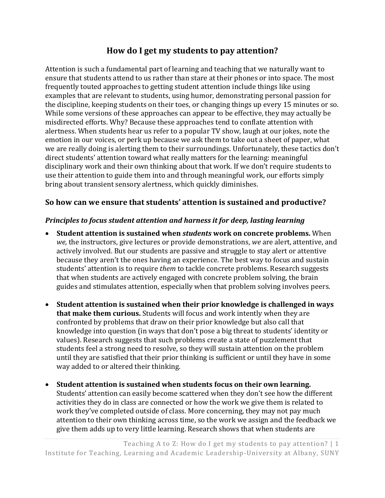# **How do I get my students to pay attention?**

Attention is such a fundamental part of learning and teaching that we naturally want to ensure that students attend to us rather than stare at their phones or into space. The most frequently touted approaches to getting student attention include things like using examples that are relevant to students, using humor, demonstrating personal passion for the discipline, keeping students on their toes, or changing things up every 15 minutes or so. While some versions of these approaches can appear to be effective, they may actually be misdirected efforts. Why? Because these approaches tend to conflate attention with alertness. When students hear us refer to a popular TV show, laugh at our jokes, note the emotion in our voices, or perk up because we ask them to take out a sheet of paper, what we are really doing is alerting them to their surroundings. Unfortunately, these tactics don't direct students' attention toward what really matters for the learning: meaningful disciplinary work and their own thinking about that work. If we don't require students to use their attention to guide them into and through meaningful work, our efforts simply bring about transient sensory alertness, which quickly diminishes.

## **So how can we ensure that students' attention is sustained and productive?**

#### *Principles to focus student attention and harness it for deep, lasting learning*

- **Student attention is sustained when** *students* **work on concrete problems.** When *we,* the instructors, give lectures or provide demonstrations, *we* are alert, attentive, and actively involved. But our students are passive and struggle to stay alert or attentive because they aren't the ones having an experience. The best way to focus and sustain students' attention is to require *them* to tackle concrete problems. Research suggests that when students are actively engaged with concrete problem solving, the brain guides and stimulates attention, especially when that problem solving involves peers.
- **Student attention is sustained when their prior knowledge is challenged in ways that make them curious.** Students will focus and work intently when they are confronted by problems that draw on their prior knowledge but also call that knowledge into question (in ways that don't pose a big threat to students' identity or values). Research suggests that such problems create a state of puzzlement that students feel a strong need to resolve, so they will sustain attention on the problem until they are satisfied that their prior thinking is sufficient or until they have in some way added to or altered their thinking.
- **Student attention is sustained when students focus on their own learning.**  Students' attention can easily become scattered when they don't see how the different activities they do in class are connected or how the work we give them is related to work they've completed outside of class. More concerning, they may not pay much attention to their own thinking across time, so the work we assign and the feedback we give them adds up to very little learning. Research shows that when students are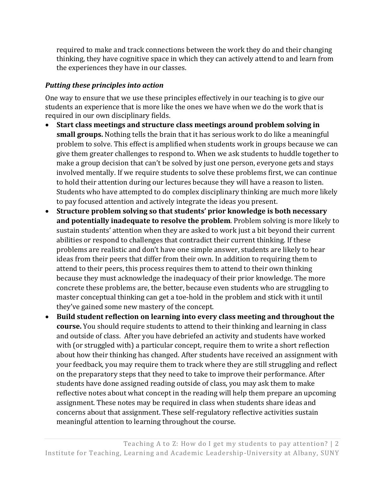required to make and track connections between the work they do and their changing thinking, they have cognitive space in which they can actively attend to and learn from the experiences they have in our classes.

### *Putting these principles into action*

One way to ensure that we use these principles effectively in our teaching is to give our students an experience that is more like the ones we have when we do the work that is required in our own disciplinary fields.

- **Start class meetings and structure class meetings around problem solving in small groups.** Nothing tells the brain that it has serious work to do like a meaningful problem to solve. This effect is amplified when students work in groups because we can give them greater challenges to respond to. When we ask students to huddle together to make a group decision that can't be solved by just one person, everyone gets and stays involved mentally. If we require students to solve these problems first, we can continue to hold their attention during our lectures because they will have a reason to listen. Students who have attempted to do complex disciplinary thinking are much more likely to pay focused attention and actively integrate the ideas you present.
- **Structure problem solving so that students' prior knowledge is both necessary and potentially inadequate to resolve the problem**. Problem solving is more likely to sustain students' attention when they are asked to work just a bit beyond their current abilities or respond to challenges that contradict their current thinking. If these problems are realistic and don't have one simple answer, students are likely to hear ideas from their peers that differ from their own. In addition to requiring them to attend to their peers, this process requires them to attend to their own thinking because they must acknowledge the inadequacy of their prior knowledge. The more concrete these problems are, the better, because even students who are struggling to master conceptual thinking can get a toe-hold in the problem and stick with it until they've gained some new mastery of the concept.
- **Build student reflection on learning into every class meeting and throughout the course.** You should require students to attend to their thinking and learning in class and outside of class. After you have debriefed an activity and students have worked with (or struggled with) a particular concept, require them to write a short reflection about how their thinking has changed. After students have received an assignment with your feedback, you may require them to track where they are still struggling and reflect on the preparatory steps that they need to take to improve their performance. After students have done assigned reading outside of class, you may ask them to make reflective notes about what concept in the reading will help them prepare an upcoming assignment. These notes may be required in class when students share ideas and concerns about that assignment. These self-regulatory reflective activities sustain meaningful attention to learning throughout the course.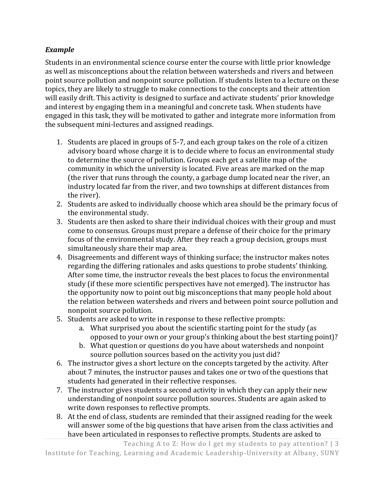### *Example*

Students in an environmental science course enter the course with little prior knowledge as well as misconceptions about the relation between watersheds and rivers and between point source pollution and nonpoint source pollution. If students listen to a lecture on these topics, they are likely to struggle to make connections to the concepts and their attention will easily drift. This activity is designed to surface and activate students' prior knowledge and interest by engaging them in a meaningful and concrete task. When students have engaged in this task, they will be motivated to gather and integrate more information from the subsequent mini-lectures and assigned readings.

- 1. Students are placed in groups of 5-7, and each group takes on the role of a citizen advisory board whose charge it is to decide where to focus an environmental study to determine the source of pollution. Groups each get a satellite map of the community in which the university is located. Five areas are marked on the map (the river that runs through the county, a garbage dump located near the river, an industry located far from the river, and two townships at different distances from the river).
- 2. Students are asked to individually choose which area should be the primary focus of the environmental study.
- 3. Students are then asked to share their individual choices with their group and must come to consensus. Groups must prepare a defense of their choice for the primary focus of the environmental study. After they reach a group decision, groups must simultaneously share their map area.
- 4. Disagreements and different ways of thinking surface; the instructor makes notes regarding the differing rationales and asks questions to probe students' thinking. After some time, the instructor reveals the best places to focus the environmental study (if these more scientific perspectives have not emerged). The instructor has the opportunity now to point out big misconceptions that many people hold about the relation between watersheds and rivers and between point source pollution and nonpoint source pollution.
- 5. Students are asked to write in response to these reflective prompts:
	- a. What surprised you about the scientific starting point for the study (as opposed to your own or your group's thinking about the best starting point)?
	- b. What question or questions do you have about watersheds and nonpoint source pollution sources based on the activity you just did?
- 6. The instructor gives a short lecture on the concepts targeted by the activity. After about 7 minutes, the instructor pauses and takes one or two of the questions that students had generated in their reflective responses.
- 7. The instructor gives students a second activity in which they can apply their new understanding of nonpoint source pollution sources. Students are again asked to write down responses to reflective prompts.
- 8. At the end of class, students are reminded that their assigned reading for the week will answer some of the big questions that have arisen from the class activities and have been articulated in responses to reflective prompts. Students are asked to

Teaching A to Z: How do I get my students to pay attention? | 3 Institute for Teaching, Learning and Academic Leadership-University at Albany, SUNY